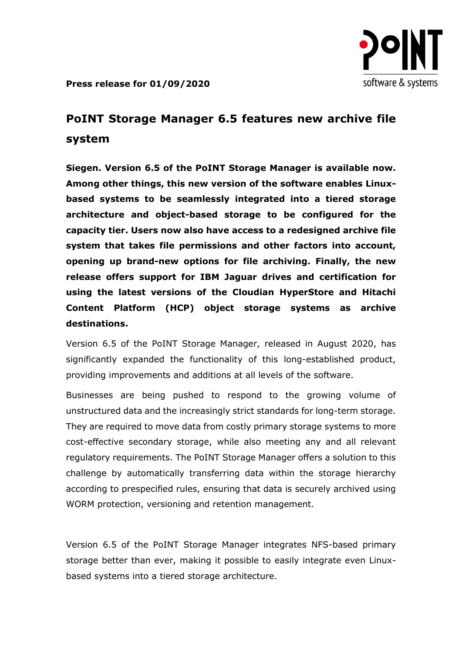

**Press release for 01/09/2020**

## **PoINT Storage Manager 6.5 features new archive file system**

**Siegen. Version 6.5 of the PoINT Storage Manager is available now. Among other things, this new version of the software enables Linuxbased systems to be seamlessly integrated into a tiered storage architecture and object-based storage to be configured for the capacity tier. Users now also have access to a redesigned archive file system that takes file permissions and other factors into account, opening up brand-new options for file archiving. Finally, the new release offers support for IBM Jaguar drives and certification for using the latest versions of the Cloudian HyperStore and Hitachi Content Platform (HCP) object storage systems as archive destinations.**

Version 6.5 of the PoINT Storage Manager, released in August 2020, has significantly expanded the functionality of this long-established product, providing improvements and additions at all levels of the software.

Businesses are being pushed to respond to the growing volume of unstructured data and the increasingly strict standards for long-term storage. They are required to move data from costly primary storage systems to more cost-effective secondary storage, while also meeting any and all relevant regulatory requirements. The PoINT Storage Manager offers a solution to this challenge by automatically transferring data within the storage hierarchy according to prespecified rules, ensuring that data is securely archived using WORM protection, versioning and retention management.

Version 6.5 of the PoINT Storage Manager integrates NFS-based primary storage better than ever, making it possible to easily integrate even Linuxbased systems into a tiered storage architecture.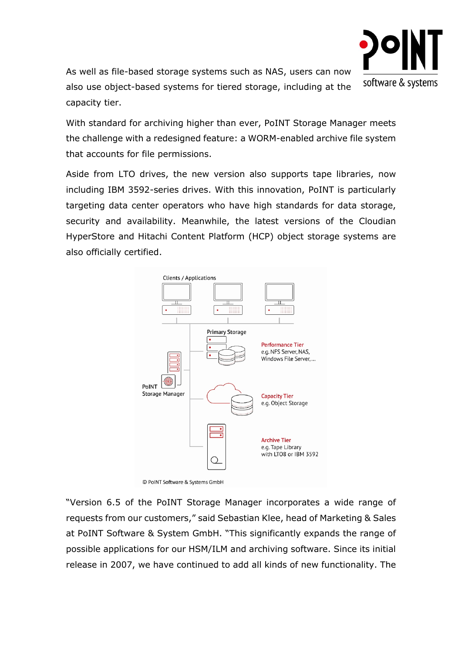

As well as file-based storage systems such as NAS, users can now also use object-based systems for tiered storage, including at the capacity tier.

With standard for archiving higher than ever, PoINT Storage Manager meets the challenge with a redesigned feature: a WORM-enabled archive file system that accounts for file permissions.

Aside from LTO drives, the new version also supports tape libraries, now including IBM 3592-series drives. With this innovation, PoINT is particularly targeting data center operators who have high standards for data storage, security and availability. Meanwhile, the latest versions of the Cloudian HyperStore and Hitachi Content Platform (HCP) object storage systems are also officially certified.



"Version 6.5 of the PoINT Storage Manager incorporates a wide range of requests from our customers," said Sebastian Klee, head of Marketing & Sales at PoINT Software & System GmbH. "This significantly expands the range of possible applications for our HSM/ILM and archiving software. Since its initial release in 2007, we have continued to add all kinds of new functionality. The